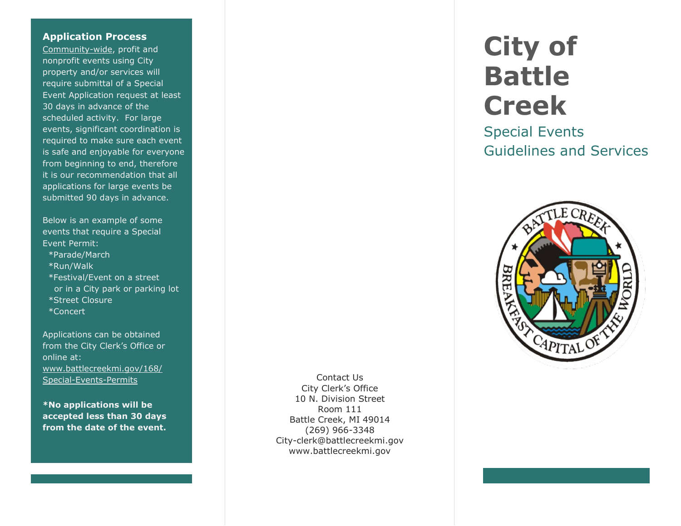## **Application Process**

Community-wide, profit and nonprofit events using City property and/or services will require submittal of a Special Event Application request at least 30 days in advance of the scheduled activity. For large events, significant coordination is required to make sure each event is safe and enjoyable for everyone from beginning to end, therefore it is our recommendation that all applications for large events be submitted 90 days in advance.

Below is an example of some events that require a Special Event Permit:

- \*Parade/March
- \*Run/Walk
- \*Festival/Event on a street or in a City park or parking lot \*Street Closure \*Concert

Applications can be obtained from the City Clerk's Office or online at: [www.battlecreekmi.gov/168/](http://www.battlecreekmi.gov/168/%20Special-Events-Permits)  [Special-Events-Permits](http://www.battlecreekmi.gov/168/%20Special-Events-Permits)

**\*No applications will be accepted less than 30 days from the date of the event.**

Contact Us City Clerk's Office 10 N. Division Street Room 111 Battle Creek, MI 49014 (269) 966-3348 City-clerk@battlecreekmi.gov www.battlecreekmi.gov

## **City of Battle Creek**

Special Events Guidelines and Services